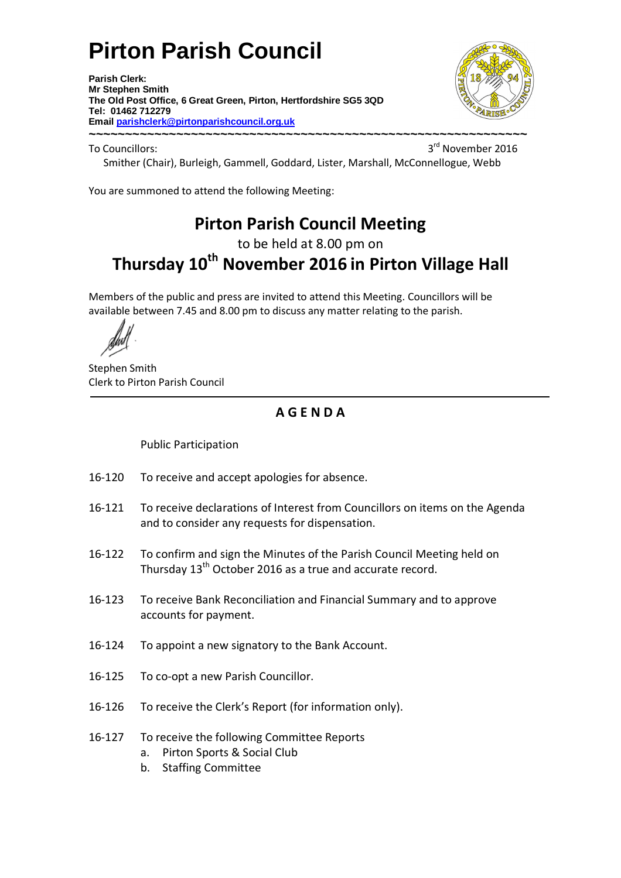# **Pirton Parish Council**

**Parish Clerk: Mr Stephen Smith The Old Post Office, 6 Great Green, Pirton, Hertfordshire SG5 3QD Tel: 01462 712279 Email parishclerk@pirtonparishcouncil.org.uk ~~~~~~~~~~~~~~~~~~~~~~~~~~~~~~~~~~~~~~~~~~~~~~~~~~~~~~~~~~~~** 



To Councillors:

3<sup>rd</sup> November 2016 Smither (Chair), Burleigh, Gammell, Goddard, Lister, Marshall, McConnellogue, Webb

You are summoned to attend the following Meeting:

## **Pirton Parish Council Meeting**

to be held at 8.00 pm on

## **Thursday 10th November 2016 in Pirton Village Hall**

Members of the public and press are invited to attend this Meeting. Councillors will be available between 7.45 and 8.00 pm to discuss any matter relating to the parish.

Stephen Smith Clerk to Pirton Parish Council

### **A G E N D A**

Public Participation

- 16-120 To receive and accept apologies for absence.
- 16-121 To receive declarations of Interest from Councillors on items on the Agenda and to consider any requests for dispensation.
- 16-122 To confirm and sign the Minutes of the Parish Council Meeting held on Thursday 13<sup>th</sup> October 2016 as a true and accurate record.
- 16-123 To receive Bank Reconciliation and Financial Summary and to approve accounts for payment.
- 16-124 To appoint a new signatory to the Bank Account.
- 16-125 To co-opt a new Parish Councillor.
- 16-126 To receive the Clerk's Report (for information only).
- 16-127 To receive the following Committee Reports
	- a. Pirton Sports & Social Club
	- b. Staffing Committee